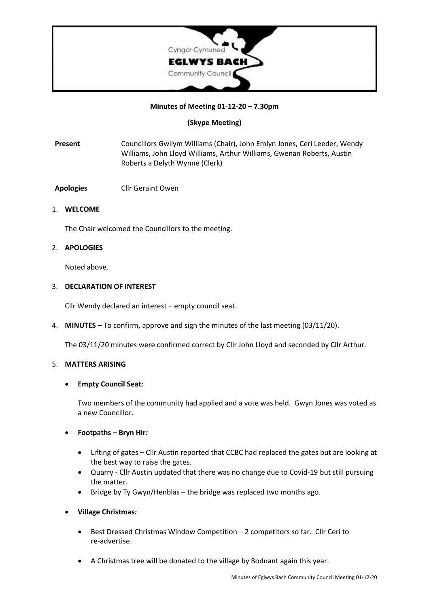

### **Minutes of Meeting 01-12-20 – 7.30pm**

### **(Skype Meeting)**

**Present** Councillors Gwilym Williams (Chair), John Emlyn Jones, Ceri Leeder, Wendy Williams, John Lloyd Williams, Arthur Williams, Gwenan Roberts, Austin Roberts a Delyth Wynne (Clerk)

**Apologies** Cllr Geraint Owen

### 1. **WELCOME**

The Chair welcomed the Councillors to the meeting.

### 2. **APOLOGIES**

Noted above.

### 3. **DECLARATION OF INTEREST**

Cllr Wendy declared an interest – empty council seat.

4. **MINUTES** – To confirm, approve and sign the minutes of the last meeting (03/11/20).

The 03/11/20 minutes were confirmed correct by Cllr John Lloyd and seconded by Cllr Arthur.

### 5. **MATTERS ARISING**

### • **Empty Council Seat***:*

Two members of the community had applied and a vote was held. Gwyn Jones was voted as a new Councillor.

- **Footpaths – Bryn Hir***:*
	- Lifting of gates Cllr Austin reported that CCBC had replaced the gates but are looking at the best way to raise the gates.
	- Quarry Cllr Austin updated that there was no change due to Covid-19 but still pursuing the matter.
	- Bridge by Ty Gwyn/Henblas the bridge was replaced two months ago.
- **Village Christmas***:*
	- Best Dressed Christmas Window Competition 2 competitors so far. Cllr Ceri to re-advertise.
	- A Christmas tree will be donated to the village by Bodnant again this year.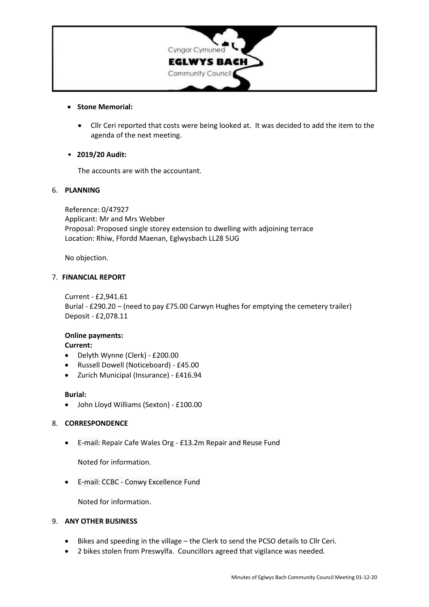

### • **Stone Memorial:**

• Cllr Ceri reported that costs were being looked at. It was decided to add the item to the agenda of the next meeting.

# • **2019/20 Audit:**

The accounts are with the accountant.

# 6. **PLANNING**

Reference: 0/47927 Applicant: Mr and Mrs Webber Proposal: Proposed single storey extension to dwelling with adjoining terrace Location: Rhiw, Ffordd Maenan, Eglwysbach LL28 5UG

No objection.

### 7. **FINANCIAL REPORT**

Current - £2,941.61 Burial - £290.20 – (need to pay £75.00 Carwyn Hughes for emptying the cemetery trailer) Deposit - £2,078.11

# **Online payments:**

# **Current:**

- Delyth Wynne (Clerk) £200.00
- Russell Dowell (Noticeboard) £45.00
- Zurich Municipal (Insurance) £416.94

### **Burial:**

• John Lloyd Williams (Sexton) - £100.00

### 8. **CORRESPONDENCE**

• E-mail: [Repair](https://www.repaircafewales.org/) Cafe Wales Org - £13.2m Repair and Reuse Fund

Noted for information.

• E-mail: CCBC - Conwy Excellence Fund

Noted for information.

### 9. **ANY OTHER BUSINESS**

- Bikes and speeding in the village the Clerk to send the PCSO details to Cllr Ceri.
- 2 bikes stolen from Preswylfa. Councillors agreed that vigilance was needed.